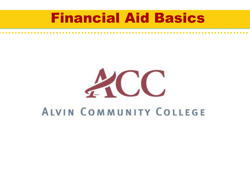#### Financial Aid Basics

# ACC **ALVIN COMMUNITY COLLEGE**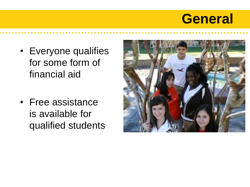#### **General**

- Everyone qualifies for some form of financial aid
- Free assistance is available for qualified students

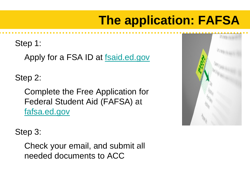#### **The application: FAFSA**

Step 1:

Apply for a FSA ID at [fsaid.ed.gov](http://www.pin.ed.gov/)

Step 2:

Complete the Free Application for Federal Student Aid (FAFSA) at [fafsa.ed.gov](http://www.fafsa.ed.gov/)



Step 3:

Check your email, and submit all needed documents to ACC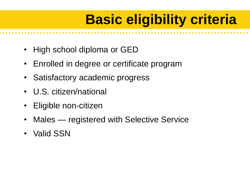# **Basic eligibility criteria**

- High school diploma or GED
- Enrolled in degree or certificate program
- Satisfactory academic progress
- U.S. citizen/national
- Eligible non-citizen
- Males registered with Selective Service
- Valid SSN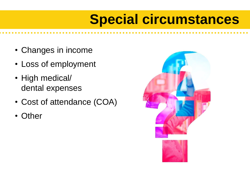### **Special circumstances**

- Changes in income
- Loss of employment
- High medical/ dental expenses
- Cost of attendance (COA)
- **Other**

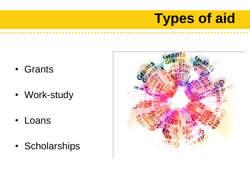# **Types of aid**

- Grants
- Work-study
- Loans
- Scholarships

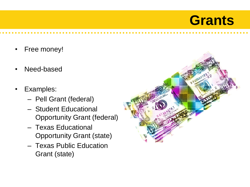#### **Grants**

- Free money!
- Need-based
- Examples:
	- Pell Grant (federal)
	- Student Educational Opportunity Grant (federal)
	- Texas Educational Opportunity Grant (state)
	- Texas Public Education Grant (state)

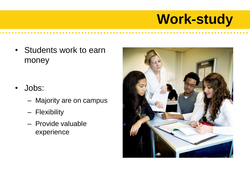# **Work-study**

- Students work to earn money
- Jobs:
	- Majority are on campus
	- Flexibility
	- Provide valuable experience

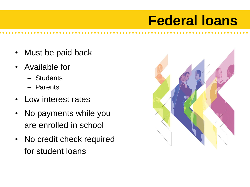### **Federal loans**

- Must be paid back
- Available for
	- Students
	- Parents
- Low interest rates
- No payments while you are enrolled in school
- No credit check required for student loans

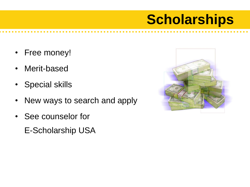## **Scholarships**

- Free money!
- Merit-based
- Special skills
- New ways to search and apply
- See counselor for
	- E-Scholarship USA